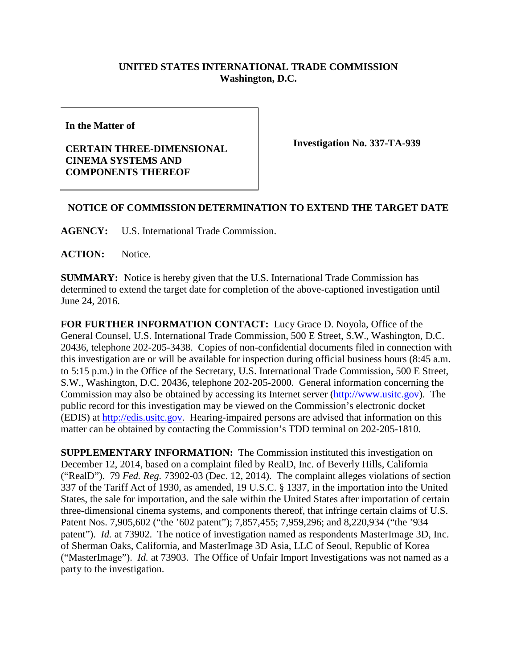## **UNITED STATES INTERNATIONAL TRADE COMMISSION Washington, D.C.**

**In the Matter of**

## **CERTAIN THREE-DIMENSIONAL CINEMA SYSTEMS AND COMPONENTS THEREOF**

**Investigation No. 337-TA-939**

## **NOTICE OF COMMISSION DETERMINATION TO EXTEND THE TARGET DATE**

**AGENCY:** U.S. International Trade Commission.

**ACTION:** Notice.

**SUMMARY:** Notice is hereby given that the U.S. International Trade Commission has determined to extend the target date for completion of the above-captioned investigation until June 24, 2016.

**FOR FURTHER INFORMATION CONTACT:** Lucy Grace D. Noyola, Office of the General Counsel, U.S. International Trade Commission, 500 E Street, S.W., Washington, D.C. 20436, telephone 202-205-3438. Copies of non-confidential documents filed in connection with this investigation are or will be available for inspection during official business hours (8:45 a.m. to 5:15 p.m.) in the Office of the Secretary, U.S. International Trade Commission, 500 E Street, S.W., Washington, D.C. 20436, telephone 202-205-2000. General information concerning the Commission may also be obtained by accessing its Internet server [\(http://www.usitc.gov\)](http://www.usitc.gov/). The public record for this investigation may be viewed on the Commission's electronic docket (EDIS) at [http://edis.usitc.gov.](http://edis.usitc.gov/) Hearing-impaired persons are advised that information on this matter can be obtained by contacting the Commission's TDD terminal on 202-205-1810.

**SUPPLEMENTARY INFORMATION:** The Commission instituted this investigation on December 12, 2014, based on a complaint filed by RealD, Inc. of Beverly Hills, California ("RealD"). 79 *Fed. Reg.* 73902-03 (Dec. 12, 2014). The complaint alleges violations of section 337 of the Tariff Act of 1930, as amended, 19 U.S.C. § 1337, in the importation into the United States, the sale for importation, and the sale within the United States after importation of certain three-dimensional cinema systems, and components thereof, that infringe certain claims of U.S. Patent Nos. 7,905,602 ("the '602 patent"); 7,857,455; 7,959,296; and 8,220,934 ("the '934 patent"). *Id.* at 73902. The notice of investigation named as respondents MasterImage 3D, Inc. of Sherman Oaks, California, and MasterImage 3D Asia, LLC of Seoul, Republic of Korea ("MasterImage"). *Id.* at 73903. The Office of Unfair Import Investigations was not named as a party to the investigation.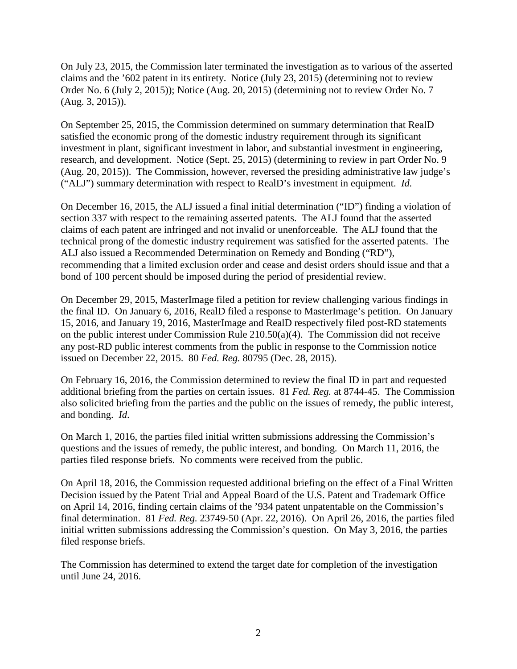On July 23, 2015, the Commission later terminated the investigation as to various of the asserted claims and the '602 patent in its entirety. Notice (July 23, 2015) (determining not to review Order No. 6 (July 2, 2015)); Notice (Aug. 20, 2015) (determining not to review Order No. 7 (Aug. 3, 2015)).

On September 25, 2015, the Commission determined on summary determination that RealD satisfied the economic prong of the domestic industry requirement through its significant investment in plant, significant investment in labor, and substantial investment in engineering, research, and development. Notice (Sept. 25, 2015) (determining to review in part Order No. 9 (Aug. 20, 2015)). The Commission, however, reversed the presiding administrative law judge's ("ALJ") summary determination with respect to RealD's investment in equipment. *Id.*

On December 16, 2015, the ALJ issued a final initial determination ("ID") finding a violation of section 337 with respect to the remaining asserted patents. The ALJ found that the asserted claims of each patent are infringed and not invalid or unenforceable. The ALJ found that the technical prong of the domestic industry requirement was satisfied for the asserted patents. The ALJ also issued a Recommended Determination on Remedy and Bonding ("RD"), recommending that a limited exclusion order and cease and desist orders should issue and that a bond of 100 percent should be imposed during the period of presidential review.

On December 29, 2015, MasterImage filed a petition for review challenging various findings in the final ID. On January 6, 2016, RealD filed a response to MasterImage's petition. On January 15, 2016, and January 19, 2016, MasterImage and RealD respectively filed post-RD statements on the public interest under Commission Rule 210.50(a)(4). The Commission did not receive any post-RD public interest comments from the public in response to the Commission notice issued on December 22, 2015. 80 *Fed. Reg.* 80795 (Dec. 28, 2015).

On February 16, 2016, the Commission determined to review the final ID in part and requested additional briefing from the parties on certain issues. 81 *Fed. Reg.* at 8744-45. The Commission also solicited briefing from the parties and the public on the issues of remedy, the public interest, and bonding. *Id*.

On March 1, 2016, the parties filed initial written submissions addressing the Commission's questions and the issues of remedy, the public interest, and bonding. On March 11, 2016, the parties filed response briefs. No comments were received from the public.

On April 18, 2016, the Commission requested additional briefing on the effect of a Final Written Decision issued by the Patent Trial and Appeal Board of the U.S. Patent and Trademark Office on April 14, 2016, finding certain claims of the '934 patent unpatentable on the Commission's final determination. 81 *Fed. Reg.* 23749-50 (Apr. 22, 2016). On April 26, 2016, the parties filed initial written submissions addressing the Commission's question. On May 3, 2016, the parties filed response briefs.

The Commission has determined to extend the target date for completion of the investigation until June 24, 2016.